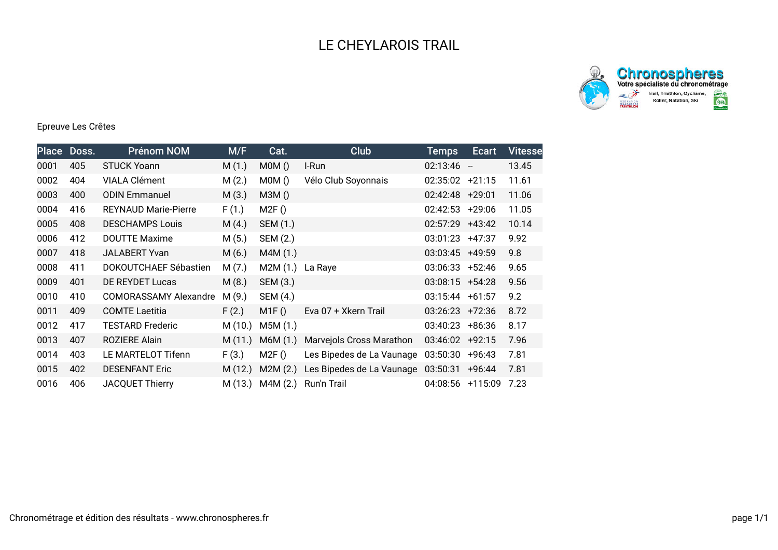



## Epreuve Les Crêtes

|      | Place Doss. | <b>Prénom NOM</b>            | M/F     | Cat.     | Club                      | <b>Temps</b>      | <b>Ecart</b> | <b>Vitesse</b> |
|------|-------------|------------------------------|---------|----------|---------------------------|-------------------|--------------|----------------|
| 0001 | 405         | <b>STUCK Yoann</b>           | M(1.)   | MOM()    | I-Run                     | $02:13:46 -$      |              | 13.45          |
| 0002 | 404         | <b>VIALA Clément</b>         | M(2.)   | MOM()    | Vélo Club Soyonnais       | $02:35:02 +21:15$ |              | 11.61          |
| 0003 | 400         | <b>ODIN Emmanuel</b>         | M(3.)   | M3M()    |                           | $02:42:48$ +29:01 |              | 11.06          |
| 0004 | 416         | <b>REYNAUD Marie-Pierre</b>  | F(1.)   | M2F()    |                           | $02:42:53$ +29:06 |              | 11.05          |
| 0005 | 408         | <b>DESCHAMPS Louis</b>       | M(4.)   | SEM (1.) |                           | $02:57:29$ +43:42 |              | 10.14          |
| 0006 | 412         | <b>DOUTTE Maxime</b>         | M(5.)   | SEM (2.) |                           | $03:01:23 +47:37$ |              | 9.92           |
| 0007 | 418         | <b>JALABERT Yvan</b>         | M(6.)   | M4M(1.)  |                           | 03:03:45 +49:59   |              | 9.8            |
| 0008 | 411         | DOKOUTCHAEF Sébastien        | M(7.)   | M2M (1.) | La Raye                   | 03:06:33 +52:46   |              | 9.65           |
| 0009 | 401         | <b>DE REYDET Lucas</b>       | M(8.)   | SEM (3.) |                           | $03:08:15 +54:28$ |              | 9.56           |
| 0010 | 410         | <b>COMORASSAMY Alexandre</b> | M(9.)   | SEM (4.) |                           | $03:15:44$ +61:57 |              | 9.2            |
| 0011 | 409         | <b>COMTE Laetitia</b>        | F(2.)   | M1F()    | Eva 07 + Xkern Trail      | $03:26:23$ +72:36 |              | 8.72           |
| 0012 | 417         | <b>TESTARD Frederic</b>      | M(10.)  | M5M (1.) |                           | 03:40:23          | +86:36       | 8.17           |
| 0013 | 407         | ROZIERE Alain                | M(11.)  | M6M(1.)  | Marvejols Cross Marathon  | 03:46:02 +92:15   |              | 7.96           |
| 0014 | 403         | LE MARTELOT Tifenn           | F(3.)   | M2F()    | Les Bipedes de La Vaunage | 03:50:30          | $+96:43$     | 7.81           |
| 0015 | 402         | <b>DESENFANT Eric</b>        | M(12.)  | M2M(2.)  | Les Bipedes de La Vaunage | 03:50:31          | +96:44       | 7.81           |
| 0016 | 406         | <b>JACQUET Thierry</b>       | M (13.) | M4M (2.) | Run'n Trail               | 04:08:56          | $+115:09$    | 7.23           |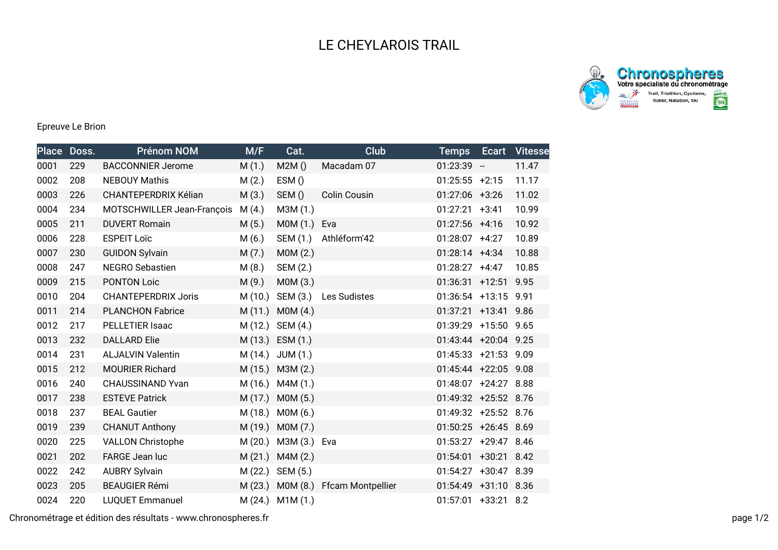## LE CHEYLAROIS TRAIL





## Epreuve Le Brion

| <b>Place</b> | Doss. | <b>Prénom NOM</b>          | M/F     | Cat.             | <b>Club</b>              | <b>Temps</b>         | Ecart | <b>Vitesse</b> |
|--------------|-------|----------------------------|---------|------------------|--------------------------|----------------------|-------|----------------|
| 0001         | 229   | <b>BACCONNIER Jerome</b>   | M(1.)   | M2M()            | Macadam 07               | $01:23:39 -$         |       | 11.47          |
| 0002         | 208   | <b>NEBOUY Mathis</b>       | M(2.)   | ESM()            |                          | $01:25:55 +2:15$     |       | 11.17          |
| 0003         | 226   | CHANTEPERDRIX Kélian       | M(3.)   | SEM()            | <b>Colin Cousin</b>      | $01:27:06$ +3:26     |       | 11.02          |
| 0004         | 234   | MOTSCHWILLER Jean-François | M(4.)   | M3M (1.)         |                          | $01:27:21$ +3:41     |       | 10.99          |
| 0005         | 211   | <b>DUVERT Romain</b>       | M(5.)   | MOM(1.)          | Eva                      | $01:27:56$ +4:16     |       | 10.92          |
| 0006         | 228   | <b>ESPEIT Loïc</b>         | M(6.)   | SEM (1.)         | Athléform'42             | $01:28:07$ +4:27     |       | 10.89          |
| 0007         | 230   | <b>GUIDON Sylvain</b>      | M(7.)   | MOM(2.)          |                          | 01:28:14 +4:34       |       | 10.88          |
| 0008         | 247   | <b>NEGRO Sebastien</b>     | M(8.)   | SEM (2.)         |                          | $01:28:27$ +4:47     |       | 10.85          |
| 0009         | 215   | <b>PONTON Loic</b>         | M(9.)   | MOM(3.)          |                          | $01:36:31$ +12:51    |       | 9.95           |
| 0010         | 204   | <b>CHANTEPERDRIX Joris</b> | M (10.) | SEM (3.)         | Les Sudistes             | $01:36:54$ +13:15    |       | 9.91           |
| 0011         | 214   | <b>PLANCHON Fabrice</b>    | M(11.)  | MOM(4.)          |                          | 01:37:21 +13:41 9.86 |       |                |
| 0012         | 217   | PELLETIER Isaac            | M (12.) | SEM (4.)         |                          | 01:39:29 +15:50 9.65 |       |                |
| 0013         | 232   | <b>DALLARD Elie</b>        |         | M (13.) ESM (1.) |                          | 01:43:44 +20:04 9.25 |       |                |
| 0014         | 231   | <b>ALJALVIN Valentin</b>   |         | M (14.) JUM (1.) |                          | 01:45:33 +21:53 9.09 |       |                |
| 0015         | 212   | <b>MOURIER Richard</b>     |         | M (15.) M3M (2.) |                          | 01:45:44 +22:05 9.08 |       |                |
| 0016         | 240   | CHAUSSINAND Yvan           |         | M (16.) M4M (1.) |                          | 01:48:07 +24:27 8.88 |       |                |
| 0017         | 238   | <b>ESTEVE Patrick</b>      | M(17.)  | MOM(5.)          |                          | 01:49:32 +25:52 8.76 |       |                |
| 0018         | 237   | <b>BEAL Gautier</b>        | M (18.) | MOM(6.)          |                          | 01:49:32 +25:52 8.76 |       |                |
| 0019         | 239   | <b>CHANUT Anthony</b>      | M (19.) | MOM(7.)          |                          | 01:50:25 +26:45 8.69 |       |                |
| 0020         | 225   | <b>VALLON Christophe</b>   | M (20.) | M3M (3.) Eva     |                          | 01:53:27 +29:47 8.46 |       |                |
| 0021         | 202   | FARGE Jean luc             | M(21.)  | M4M(2.)          |                          | 01:54:01 +30:21 8.42 |       |                |
| 0022         | 242   | <b>AUBRY Sylvain</b>       | M (22.) | SEM (5.)         |                          | 01:54:27 +30:47 8.39 |       |                |
| 0023         | 205   | <b>BEAUGIER Rémi</b>       | M (23.) | M0M (8.)         | <b>Ffcam Montpellier</b> | 01:54:49 +31:10 8.36 |       |                |
| 0024         | 220   | <b>LUQUET Emmanuel</b>     | M(24.)  | M1M(1.)          |                          | 01:57:01 +33:21 8.2  |       |                |

Chronométrage et édition des résultats - www.chronospheres.fr page 1/2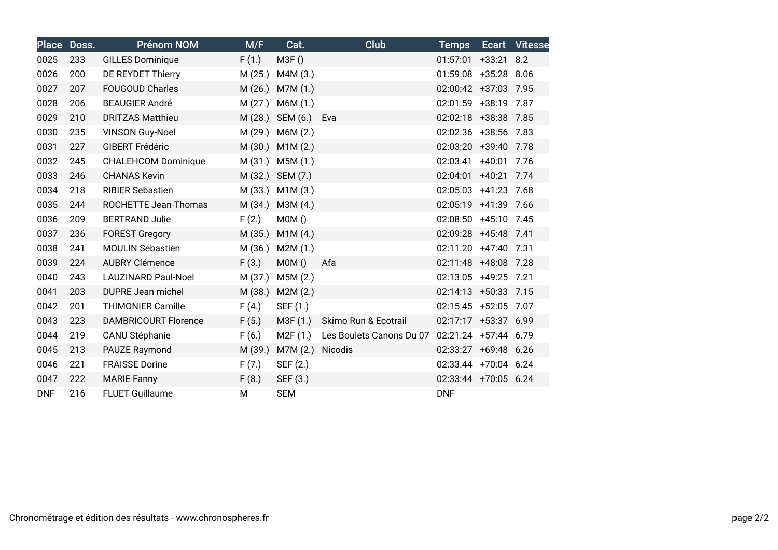| <b>Place</b> | Doss. | <b>Prénom NOM</b>           | M/F     | Cat.       | <b>Club</b>              | <b>Temps</b>         |             | Ecart Vitesse |
|--------------|-------|-----------------------------|---------|------------|--------------------------|----------------------|-------------|---------------|
| 0025         | 233   | <b>GILLES Dominique</b>     | F(1.)   | M3F()      |                          | 01:57:01             | $+33:21$    | 8.2           |
| 0026         | 200   | DE REYDET Thierry           | M(25.)  | M4M (3.)   |                          | 01:59:08             | +35:28 8.06 |               |
| 0027         | 207   | <b>FOUGOUD Charles</b>      | M(26.)  | M7M (1.)   |                          | 02:00:42 +37:03 7.95 |             |               |
| 0028         | 206   | <b>BEAUGIER André</b>       | M(27.)  | M6M (1.)   |                          | 02:01:59             | $+38:19$    | 7.87          |
| 0029         | 210   | <b>DRITZAS Matthieu</b>     | M(28.)  | SEM (6.)   | Eva                      | 02:02:18 +38:38 7.85 |             |               |
| 0030         | 235   | <b>VINSON Guy-Noel</b>      | M(29.)  | M6M (2.)   |                          | 02:02:36 +38:56      |             | 7.83          |
| 0031         | 227   | <b>GIBERT Frédéric</b>      | M(30.)  | M1M(2.)    |                          | 02:03:20             | $+39:40$    | 7.78          |
| 0032         | 245   | <b>CHALEHCOM Dominique</b>  | M(31.)  | M5M(1.)    |                          | 02:03:41             | $+40:01$    | 7.76          |
| 0033         | 246   | <b>CHANAS Kevin</b>         | M (32.) | SEM (7.)   |                          | 02:04:01             | $+40:21$    | 7.74          |
| 0034         | 218   | <b>RIBIER Sebastien</b>     | M (33.) | M1M(3.)    |                          | 02:05:03             | $+41:23$    | 7.68          |
| 0035         | 244   | ROCHETTE Jean-Thomas        | M(34.)  | M3M(4.)    |                          | 02:05:19 +41:39      |             | 7.66          |
| 0036         | 209   | <b>BERTRAND Julie</b>       | F(2.)   | MOM()      |                          | 02:08:50             | $+45:10$    | 7.45          |
| 0037         | 236   | <b>FOREST Gregory</b>       | M(35.)  | M1M(4.)    |                          | 02:09:28             | $+45:48$    | 7.41          |
| 0038         | 241   | <b>MOULIN Sebastien</b>     | M (36.) | M2M(1.)    |                          | 02:11:20             | $+47:40$    | 7.31          |
| 0039         | 224   | <b>AUBRY Clémence</b>       | F(3.)   | MOM()      | Afa                      | 02:11:48 +48:08      |             | 7.28          |
| 0040         | 243   | <b>LAUZINARD Paul-Noel</b>  | M (37.) | M5M(2.)    |                          | 02:13:05 +49:25      |             | 7.21          |
| 0041         | 203   | <b>DUPRE Jean michel</b>    | M (38.) | M2M(2.)    |                          | $02:14:13 + 50:33$   |             | 7.15          |
| 0042         | 201   | <b>THIMONIER Camille</b>    | F(4.)   | SEF (1.)   |                          | $02:15:45$ +52:05    |             | 7.07          |
| 0043         | 223   | <b>DAMBRICOURT Florence</b> | F(5.)   | M3F (1.)   | Skimo Run & Ecotrail     | 02:17:17 +53:37 6.99 |             |               |
| 0044         | 219   | CANU Stéphanie              | F(6.)   | M2F(1.)    | Les Boulets Canons Du 07 | 02:21:24 +57:44 6.79 |             |               |
| 0045         | 213   | PAUZE Raymond               | M (39.) | M7M (2.)   | Nicodis                  | 02:33:27             | +69:48 6.26 |               |
| 0046         | 221   | <b>FRAISSE Dorine</b>       | F(7.)   | SEF (2.)   |                          | 02:33:44 +70:04 6.24 |             |               |
| 0047         | 222   | <b>MARIE Fanny</b>          | F(8.)   | SEF (3.)   |                          | 02:33:44 +70:05 6.24 |             |               |
| <b>DNF</b>   | 216   | <b>FLUET Guillaume</b>      | M       | <b>SEM</b> |                          | <b>DNF</b>           |             |               |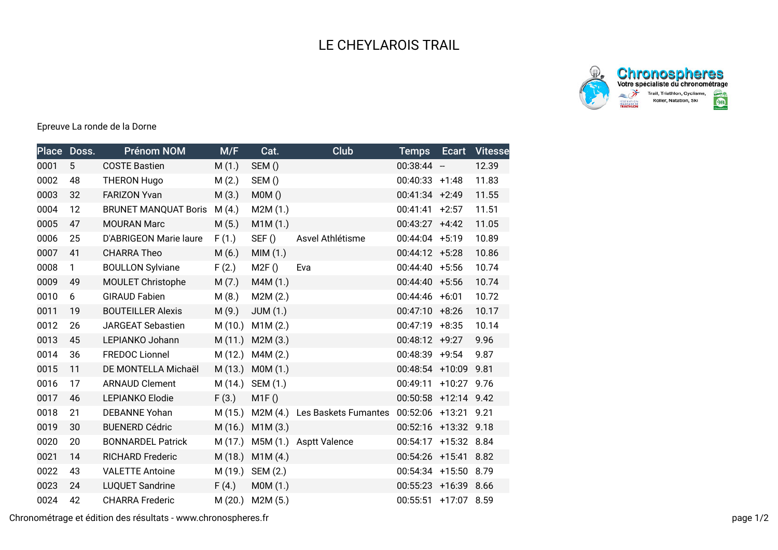



Epreuve La ronde de la Dorne

| <b>Place</b> | Doss.        | <b>Prénom NOM</b>           | M/F     | Cat.            | <b>Club</b>            | <b>Temps</b>         | <b>Ecart</b>  | <b>Vitesse</b> |
|--------------|--------------|-----------------------------|---------|-----------------|------------------------|----------------------|---------------|----------------|
| 0001         | 5            | <b>COSTE Bastien</b>        | M(1.)   | SEM()           |                        | $00:38:44 -$         |               | 12.39          |
| 0002         | 48           | <b>THERON Hugo</b>          | M(2.)   | SEM()           |                        | $00:40:33$ +1:48     |               | 11.83          |
| 0003         | 32           | <b>FARIZON Yvan</b>         | M(3.)   | MOM()           |                        | $00:41:34 +2:49$     |               | 11.55          |
| 0004         | 12           | <b>BRUNET MANQUAT Boris</b> | M(4.)   | M2M (1.)        |                        | 00:41:41             | $+2:57$       | 11.51          |
| 0005         | 47           | <b>MOURAN Marc</b>          | M(5.)   | M1M(1.)         |                        | $00:43:27$ +4:42     |               | 11.05          |
| 0006         | 25           | D'ABRIGEON Marie laure      | F(1.)   | SEF()           | Asvel Athlétisme       | $00:44:04$ +5:19     |               | 10.89          |
| 0007         | 41           | <b>CHARRA Theo</b>          | M(6.)   | MIM(1.)         |                        | $00:44:12 +5:28$     |               | 10.86          |
| 0008         | $\mathbf{1}$ | <b>BOULLON Sylviane</b>     | F(2.)   | M2F()           | Eva                    | $00:44:40 + 5:56$    |               | 10.74          |
| 0009         | 49           | MOULET Christophe           | M(7.)   | M4M (1.)        |                        | $00:44:40 + 5:56$    |               | 10.74          |
| 0010         | 6            | <b>GIRAUD Fabien</b>        | M(8.)   | M2M(2.)         |                        | $00:44:46$ +6:01     |               | 10.72          |
| 0011         | 19           | <b>BOUTEILLER Alexis</b>    | M(9.)   | <b>JUM (1.)</b> |                        | $00:47:10 + 8:26$    |               | 10.17          |
| 0012         | 26           | <b>JARGEAT Sebastien</b>    | M(10.)  | M1M(2.)         |                        | $00:47:19 + 8:35$    |               | 10.14          |
| 0013         | 45           | LEPIANKO Johann             | M(11.)  | M2M(3.)         |                        | $00:48:12 +9:27$     |               | 9.96           |
| 0014         | 36           | <b>FREDOC Lionnel</b>       | M(12.)  | M4M(2.)         |                        | 00:48:39 +9:54       |               | 9.87           |
| 0015         | 11           | DE MONTELLA Michaël         | M (13.) | M0M (1.)        |                        | 00:48:54 +10:09      |               | 9.81           |
| 0016         | 17           | <b>ARNAUD Clement</b>       | M (14.) | SEM (1.)        |                        | 00:49:11             | +10:27 9.76   |                |
| 0017         | 46           | LEPIANKO Elodie             | F(3.)   | M1F()           |                        | 00:50:58             | $+12:14$ 9.42 |                |
| 0018         | 21           | <b>DEBANNE Yohan</b>        | M (15.) | M2M(4)          | Les Baskets Fumantes   | 00:52:06             | +13:21 9.21   |                |
| 0019         | 30           | <b>BUENERD Cédric</b>       | M (16.) | M1M(3.)         |                        | 00:52:16             | +13:32 9.18   |                |
| 0020         | 20           | <b>BONNARDEL Patrick</b>    | M (17.) |                 | M5M (1.) Asptt Valence | 00:54:17             | +15:32 8.84   |                |
| 0021         | 14           | <b>RICHARD Frederic</b>     | M(18.)  | M1M(4.)         |                        | 00:54:26             | +15:41 8.82   |                |
| 0022         | 43           | <b>VALETTE Antoine</b>      | M (19.) | SEM (2.)        |                        | 00:54:34 +15:50 8.79 |               |                |
| 0023         | 24           | <b>LUQUET Sandrine</b>      | F(4.)   | M0M (1.)        |                        | 00:55:23             | +16:39 8.66   |                |
| 0024         | 42           | <b>CHARRA Frederic</b>      | M(20.)  | M2M (5.)        |                        | 00:55:51             | +17:07 8.59   |                |

Chronométrage et édition des résultats - www.chronospheres.fr page 1/2